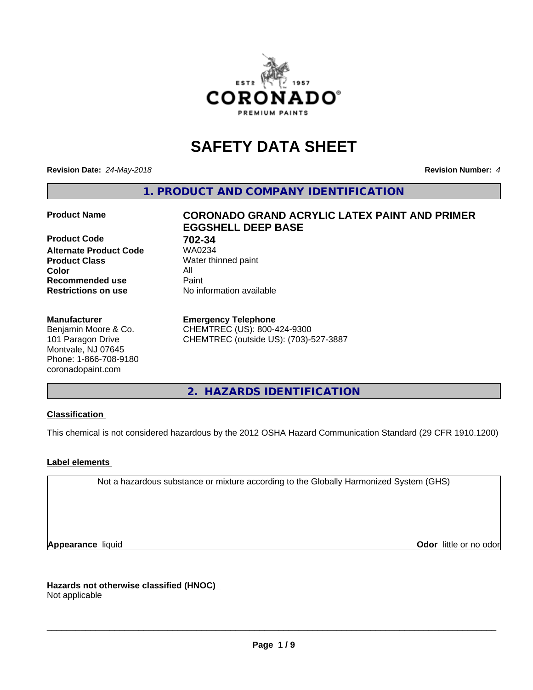

# **SAFETY DATA SHEET**

**Revision Date:** *24-May-2018* **Revision Number:** *4*

**1. PRODUCT AND COMPANY IDENTIFICATION**

**Product Code 61 702-34**<br>**Alternate Product Code 61 702-34 Alternate Product Code Product Class** Water thinned paint<br> **Color** All **Color** All **Recommended use Caint Restrictions on use** No information available

#### **Manufacturer**

Benjamin Moore & Co. 101 Paragon Drive Montvale, NJ 07645 Phone: 1-866-708-9180 coronadopaint.com

# **Product Name CORONADO GRAND ACRYLIC LATEX PAINT AND PRIMER EGGSHELL DEEP BASE**

#### **Emergency Telephone**

CHEMTREC (US): 800-424-9300 CHEMTREC (outside US): (703)-527-3887

**2. HAZARDS IDENTIFICATION**

#### **Classification**

This chemical is not considered hazardous by the 2012 OSHA Hazard Communication Standard (29 CFR 1910.1200)

#### **Label elements**

Not a hazardous substance or mixture according to the Globally Harmonized System (GHS)

**Appearance** liquid **Contract Contract Contract Contract Contract Contract Contract Contract Contract Contract Contract Contract Contract Contract Contract Contract Contract Contract Contract Contract Contract Contract Con** 

**Hazards not otherwise classified (HNOC)**

Not applicable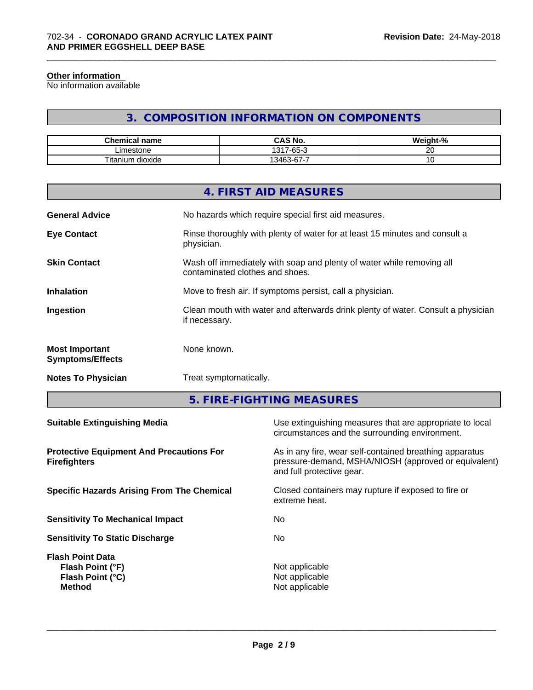#### **Other information**

No information available

# **3. COMPOSITION INFORMATION ON COMPONENTS**

\_\_\_\_\_\_\_\_\_\_\_\_\_\_\_\_\_\_\_\_\_\_\_\_\_\_\_\_\_\_\_\_\_\_\_\_\_\_\_\_\_\_\_\_\_\_\_\_\_\_\_\_\_\_\_\_\_\_\_\_\_\_\_\_\_\_\_\_\_\_\_\_\_\_\_\_\_\_\_\_\_\_\_\_\_\_\_\_\_\_\_\_\_

| <b>Chemical</b><br>name                   | <b>CAS No.</b>                 | $\cdots$<br>$\sim$<br>.veiant-"<br>- 70 |
|-------------------------------------------|--------------------------------|-----------------------------------------|
| imestone<br>----                          | $\sim$ $\sim$<br>1317<br>י-65- | $\sim$ $\sim$<br>$\sim$                 |
| --<br><br>l itan<br>dioxide<br><b>uum</b> | -<br>$\sim$<br>1346.2<br>ີ     | ັ                                       |

|                                                  | 4. FIRST AID MEASURES                                                                                    |
|--------------------------------------------------|----------------------------------------------------------------------------------------------------------|
| <b>General Advice</b>                            | No hazards which require special first aid measures.                                                     |
| <b>Eye Contact</b>                               | Rinse thoroughly with plenty of water for at least 15 minutes and consult a<br>physician.                |
| <b>Skin Contact</b>                              | Wash off immediately with soap and plenty of water while removing all<br>contaminated clothes and shoes. |
| <b>Inhalation</b>                                | Move to fresh air. If symptoms persist, call a physician.                                                |
| Ingestion                                        | Clean mouth with water and afterwards drink plenty of water. Consult a physician<br>if necessary.        |
| <b>Most Important</b><br><b>Symptoms/Effects</b> | None known.                                                                                              |
| <b>Notes To Physician</b>                        | Treat symptomatically.                                                                                   |
|                                                  |                                                                                                          |

**5. FIRE-FIGHTING MEASURES**

| As in any fire, wear self-contained breathing apparatus<br>pressure-demand, MSHA/NIOSH (approved or equivalent)<br>and full protective gear.<br>Closed containers may rupture if exposed to fire or<br>extreme heat.<br>No.<br>No.<br>Not applicable<br>Flash Point (°F)<br>Not applicable<br>Flash Point (°C)<br>Not applicable<br><b>Method</b> | <b>Suitable Extinguishing Media</b>                                    | Use extinguishing measures that are appropriate to local<br>circumstances and the surrounding environment. |
|---------------------------------------------------------------------------------------------------------------------------------------------------------------------------------------------------------------------------------------------------------------------------------------------------------------------------------------------------|------------------------------------------------------------------------|------------------------------------------------------------------------------------------------------------|
|                                                                                                                                                                                                                                                                                                                                                   | <b>Protective Equipment And Precautions For</b><br><b>Firefighters</b> |                                                                                                            |
|                                                                                                                                                                                                                                                                                                                                                   | <b>Specific Hazards Arising From The Chemical</b>                      |                                                                                                            |
|                                                                                                                                                                                                                                                                                                                                                   | <b>Sensitivity To Mechanical Impact</b>                                |                                                                                                            |
|                                                                                                                                                                                                                                                                                                                                                   | <b>Sensitivity To Static Discharge</b>                                 |                                                                                                            |
|                                                                                                                                                                                                                                                                                                                                                   | <b>Flash Point Data</b>                                                |                                                                                                            |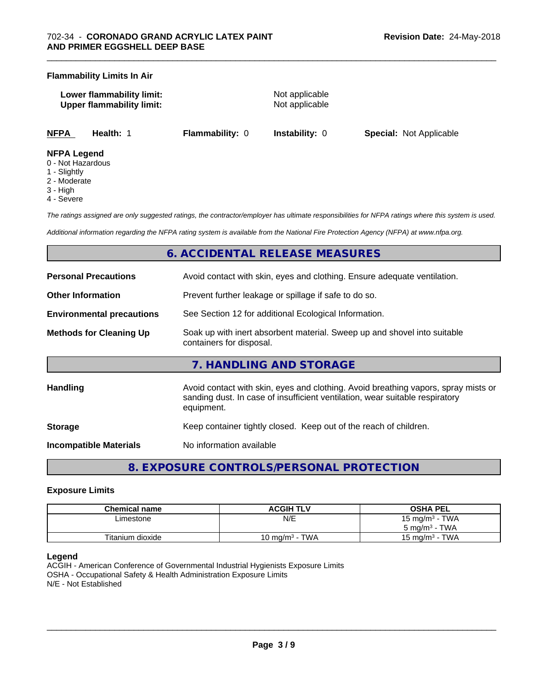#### **Flammability Limits In Air**

| Lower flammability limit:        |  |
|----------------------------------|--|
| <b>Upper flammability limit:</b> |  |

**Not applicable Not applicable** 

\_\_\_\_\_\_\_\_\_\_\_\_\_\_\_\_\_\_\_\_\_\_\_\_\_\_\_\_\_\_\_\_\_\_\_\_\_\_\_\_\_\_\_\_\_\_\_\_\_\_\_\_\_\_\_\_\_\_\_\_\_\_\_\_\_\_\_\_\_\_\_\_\_\_\_\_\_\_\_\_\_\_\_\_\_\_\_\_\_\_\_\_\_

**NFPA Health:** 1 **Flammability:** 0 **Instability:** 0 **Special:** Not Applicable

#### **NFPA Legend**

- 0 Not Hazardous
- 1 Slightly
- 2 Moderate
- 3 High
- 4 Severe

*The ratings assigned are only suggested ratings, the contractor/employer has ultimate responsibilities for NFPA ratings where this system is used.*

*Additional information regarding the NFPA rating system is available from the National Fire Protection Agency (NFPA) at www.nfpa.org.*

# **6. ACCIDENTAL RELEASE MEASURES**

| <b>Personal Precautions</b>      | Avoid contact with skin, eyes and clothing. Ensure adequate ventilation.                                                                                                         |  |
|----------------------------------|----------------------------------------------------------------------------------------------------------------------------------------------------------------------------------|--|
| <b>Other Information</b>         | Prevent further leakage or spillage if safe to do so.                                                                                                                            |  |
| <b>Environmental precautions</b> | See Section 12 for additional Ecological Information.                                                                                                                            |  |
| <b>Methods for Cleaning Up</b>   | Soak up with inert absorbent material. Sweep up and shovel into suitable<br>containers for disposal.                                                                             |  |
|                                  | 7. HANDLING AND STORAGE                                                                                                                                                          |  |
| <b>Handling</b>                  | Avoid contact with skin, eyes and clothing. Avoid breathing vapors, spray mists or<br>sanding dust. In case of insufficient ventilation, wear suitable respiratory<br>equipment. |  |
| <b>Storage</b>                   | Keep container tightly closed. Keep out of the reach of children.                                                                                                                |  |
| <b>Incompatible Materials</b>    | No information available                                                                                                                                                         |  |

**8. EXPOSURE CONTROLS/PERSONAL PROTECTION**

#### **Exposure Limits**

| Chemical name    | <b>ACGIH TLV</b>      | <b>OSHA PEL</b>                 |
|------------------|-----------------------|---------------------------------|
| ∟imestone        | N/E                   | 15 mg/m $3$ - TWA               |
|                  |                       | $5 \text{ ma/m}^3$ - TWA        |
| Titanium dioxide | TWA<br>10 mg/m $^3$ - | - TWA<br>15 mg/m <sup>3</sup> - |

#### **Legend**

ACGIH - American Conference of Governmental Industrial Hygienists Exposure Limits OSHA - Occupational Safety & Health Administration Exposure Limits N/E - Not Established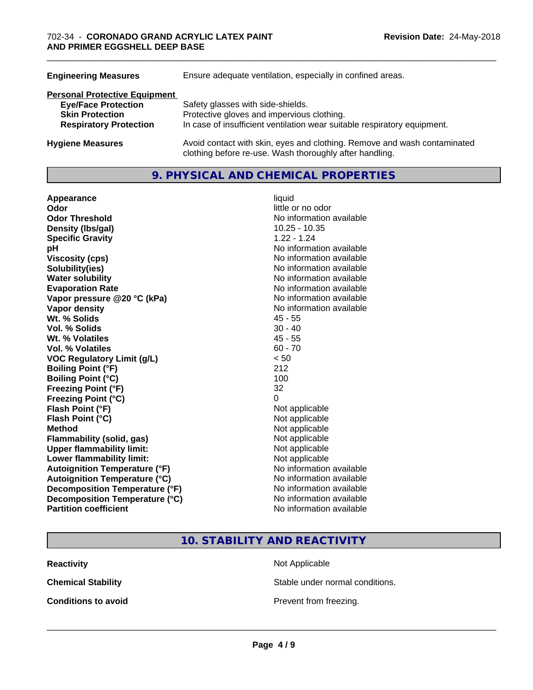| Ensure adequate ventilation, especially in confined areas.                                                                          |  |
|-------------------------------------------------------------------------------------------------------------------------------------|--|
|                                                                                                                                     |  |
| Safety glasses with side-shields.                                                                                                   |  |
| Protective gloves and impervious clothing.                                                                                          |  |
| In case of insufficient ventilation wear suitable respiratory equipment.                                                            |  |
| Avoid contact with skin, eyes and clothing. Remove and wash contaminated<br>clothing before re-use. Wash thoroughly after handling. |  |
|                                                                                                                                     |  |

#### **9. PHYSICAL AND CHEMICAL PROPERTIES**

| Appearance                           | liquid                   |
|--------------------------------------|--------------------------|
| Odor                                 | little or no odor        |
| <b>Odor Threshold</b>                | No information available |
| Density (Ibs/gal)                    | $10.25 - 10.35$          |
| <b>Specific Gravity</b>              | $1.22 - 1.24$            |
| рH                                   | No information available |
| <b>Viscosity (cps)</b>               | No information available |
| Solubility(ies)                      | No information available |
| <b>Water solubility</b>              | No information available |
| <b>Evaporation Rate</b>              | No information available |
| Vapor pressure @20 °C (kPa)          | No information available |
| Vapor density                        | No information available |
| Wt. % Solids                         | $45 - 55$                |
| <b>Vol. % Solids</b>                 | $30 - 40$                |
| Wt. % Volatiles                      | $45 - 55$                |
| Vol. % Volatiles                     | $60 - 70$                |
| <b>VOC Regulatory Limit (g/L)</b>    | < 50                     |
| <b>Boiling Point (°F)</b>            | 212                      |
| <b>Boiling Point (°C)</b>            | 100                      |
| <b>Freezing Point (°F)</b>           | 32                       |
| <b>Freezing Point (°C)</b>           | 0                        |
| Flash Point (°F)                     | Not applicable           |
| Flash Point (°C)                     | Not applicable           |
| <b>Method</b>                        | Not applicable           |
| <b>Flammability (solid, gas)</b>     | Not applicable           |
| <b>Upper flammability limit:</b>     | Not applicable           |
| Lower flammability limit:            | Not applicable           |
| <b>Autoignition Temperature (°F)</b> | No information available |
| <b>Autoignition Temperature (°C)</b> | No information available |
| Decomposition Temperature (°F)       | No information available |
| Decomposition Temperature (°C)       | No information available |
| <b>Partition coefficient</b>         | No information available |

\_\_\_\_\_\_\_\_\_\_\_\_\_\_\_\_\_\_\_\_\_\_\_\_\_\_\_\_\_\_\_\_\_\_\_\_\_\_\_\_\_\_\_\_\_\_\_\_\_\_\_\_\_\_\_\_\_\_\_\_\_\_\_\_\_\_\_\_\_\_\_\_\_\_\_\_\_\_\_\_\_\_\_\_\_\_\_\_\_\_\_\_\_

# **10. STABILITY AND REACTIVITY**

**Reactivity** Not Applicable

**Chemical Stability Stable under normal conditions.** 

**Conditions to avoid Conditions to avoid Prevent from freezing.**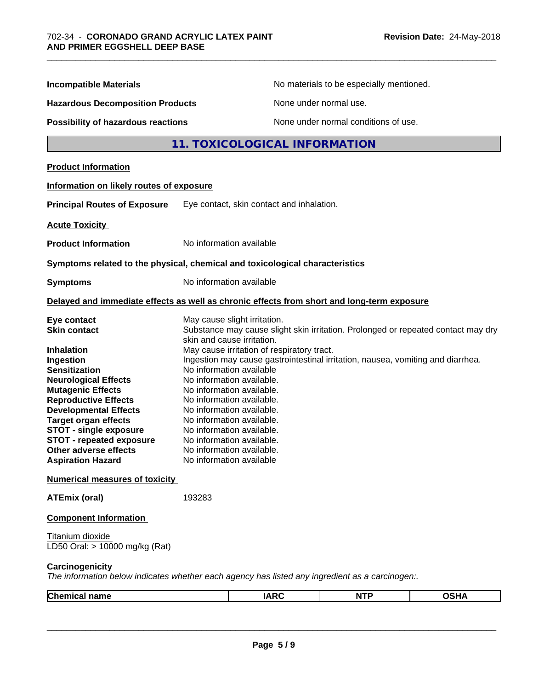| <b>Incompatible Materials</b>                                                                                                                                                                                                                                                                               |                                                                                                                                                                                                                                                                                                   |                                            | No materials to be especially mentioned.                                        |                                                                                   |
|-------------------------------------------------------------------------------------------------------------------------------------------------------------------------------------------------------------------------------------------------------------------------------------------------------------|---------------------------------------------------------------------------------------------------------------------------------------------------------------------------------------------------------------------------------------------------------------------------------------------------|--------------------------------------------|---------------------------------------------------------------------------------|-----------------------------------------------------------------------------------|
| <b>Hazardous Decomposition Products</b>                                                                                                                                                                                                                                                                     |                                                                                                                                                                                                                                                                                                   |                                            | None under normal use.                                                          |                                                                                   |
| <b>Possibility of hazardous reactions</b>                                                                                                                                                                                                                                                                   |                                                                                                                                                                                                                                                                                                   |                                            | None under normal conditions of use.                                            |                                                                                   |
|                                                                                                                                                                                                                                                                                                             |                                                                                                                                                                                                                                                                                                   | 11. TOXICOLOGICAL INFORMATION              |                                                                                 |                                                                                   |
| <b>Product Information</b>                                                                                                                                                                                                                                                                                  |                                                                                                                                                                                                                                                                                                   |                                            |                                                                                 |                                                                                   |
| Information on likely routes of exposure                                                                                                                                                                                                                                                                    |                                                                                                                                                                                                                                                                                                   |                                            |                                                                                 |                                                                                   |
| <b>Principal Routes of Exposure</b>                                                                                                                                                                                                                                                                         |                                                                                                                                                                                                                                                                                                   | Eye contact, skin contact and inhalation.  |                                                                                 |                                                                                   |
| <b>Acute Toxicity</b>                                                                                                                                                                                                                                                                                       |                                                                                                                                                                                                                                                                                                   |                                            |                                                                                 |                                                                                   |
| <b>Product Information</b>                                                                                                                                                                                                                                                                                  | No information available                                                                                                                                                                                                                                                                          |                                            |                                                                                 |                                                                                   |
| Symptoms related to the physical, chemical and toxicological characteristics                                                                                                                                                                                                                                |                                                                                                                                                                                                                                                                                                   |                                            |                                                                                 |                                                                                   |
| Symptoms                                                                                                                                                                                                                                                                                                    | No information available                                                                                                                                                                                                                                                                          |                                            |                                                                                 |                                                                                   |
| Delayed and immediate effects as well as chronic effects from short and long-term exposure                                                                                                                                                                                                                  |                                                                                                                                                                                                                                                                                                   |                                            |                                                                                 |                                                                                   |
| Eye contact<br><b>Skin contact</b><br>Inhalation<br>Ingestion<br><b>Sensitization</b><br><b>Neurological Effects</b><br><b>Mutagenic Effects</b><br><b>Reproductive Effects</b><br><b>Developmental Effects</b><br>Target organ effects<br><b>STOT - single exposure</b><br><b>STOT - repeated exposure</b> | May cause slight irritation.<br>skin and cause irritation.<br>No information available<br>No information available.<br>No information available.<br>No information available.<br>No information available.<br>No information available.<br>No information available.<br>No information available. | May cause irritation of respiratory tract. | Ingestion may cause gastrointestinal irritation, nausea, vomiting and diarrhea. | Substance may cause slight skin irritation. Prolonged or repeated contact may dry |
| Other adverse effects<br>Aspiration Hazard                                                                                                                                                                                                                                                                  | No information available.<br>No information available                                                                                                                                                                                                                                             |                                            |                                                                                 |                                                                                   |
| <b>Numerical measures of toxicity</b>                                                                                                                                                                                                                                                                       |                                                                                                                                                                                                                                                                                                   |                                            |                                                                                 |                                                                                   |
| ATEmix (oral)                                                                                                                                                                                                                                                                                               | 193283                                                                                                                                                                                                                                                                                            |                                            |                                                                                 |                                                                                   |
| <b>Component Information</b>                                                                                                                                                                                                                                                                                |                                                                                                                                                                                                                                                                                                   |                                            |                                                                                 |                                                                                   |
| Titanium dioxide<br>LD50 Oral: > 10000 mg/kg (Rat)                                                                                                                                                                                                                                                          |                                                                                                                                                                                                                                                                                                   |                                            |                                                                                 |                                                                                   |
| <b>Carcinogenicity</b><br>The information below indicates whether each agency has listed any ingredient as a carcinogen:.                                                                                                                                                                                   |                                                                                                                                                                                                                                                                                                   |                                            |                                                                                 |                                                                                   |
| <b>Chemical name</b>                                                                                                                                                                                                                                                                                        |                                                                                                                                                                                                                                                                                                   | <b>IARC</b>                                | <b>NTP</b>                                                                      | <b>OSHA</b>                                                                       |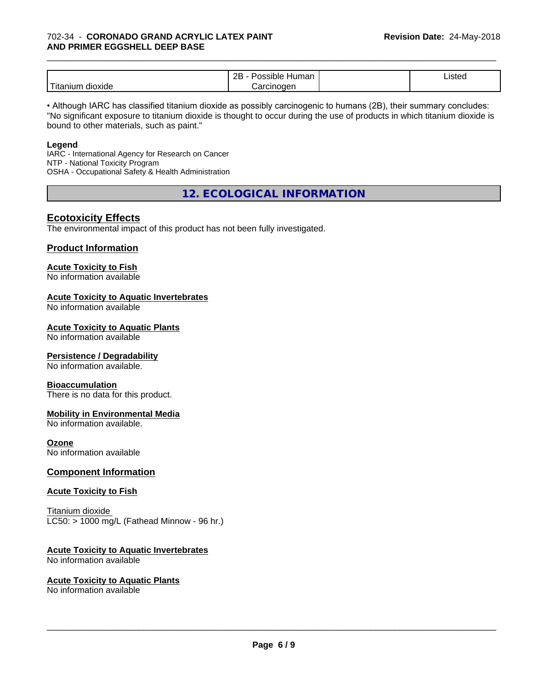#### 702-34 - **CORONADO GRAND ACRYLIC LATEX PAINT AND PRIMER EGGSHELL DEEP BASE**

|                                    | ם ה<br>Humar<br>אוכי<br><u>_ _</u> | Listed |  |
|------------------------------------|------------------------------------|--------|--|
| $- -$<br><b>GIOXIDE</b><br>itaniur | $n$ mananan<br>וחר                 |        |  |

\_\_\_\_\_\_\_\_\_\_\_\_\_\_\_\_\_\_\_\_\_\_\_\_\_\_\_\_\_\_\_\_\_\_\_\_\_\_\_\_\_\_\_\_\_\_\_\_\_\_\_\_\_\_\_\_\_\_\_\_\_\_\_\_\_\_\_\_\_\_\_\_\_\_\_\_\_\_\_\_\_\_\_\_\_\_\_\_\_\_\_\_\_

• Although IARC has classified titanium dioxide as possibly carcinogenic to humans (2B), their summary concludes: "No significant exposure to titanium dioxide is thought to occur during the use of products in which titanium dioxide is bound to other materials, such as paint."

#### **Legend**

IARC - International Agency for Research on Cancer NTP - National Toxicity Program OSHA - Occupational Safety & Health Administration

**12. ECOLOGICAL INFORMATION**

#### **Ecotoxicity Effects**

The environmental impact of this product has not been fully investigated.

#### **Product Information**

#### **Acute Toxicity to Fish**

No information available

#### **Acute Toxicity to Aquatic Invertebrates**

No information available

#### **Acute Toxicity to Aquatic Plants**

No information available

#### **Persistence / Degradability**

No information available.

#### **Bioaccumulation**

There is no data for this product.

#### **Mobility in Environmental Media**

No information available.

#### **Ozone**

No information available

#### **Component Information**

#### **Acute Toxicity to Fish**

Titanium dioxide  $LC50:$  > 1000 mg/L (Fathead Minnow - 96 hr.)

#### **Acute Toxicity to Aquatic Invertebrates**

No information available

#### **Acute Toxicity to Aquatic Plants**

No information available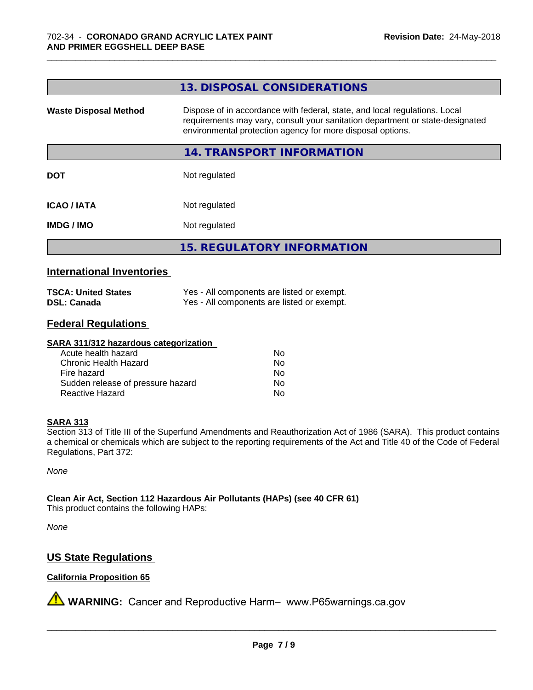|                              | 13. DISPOSAL CONSIDERATIONS                                                                                                                                                                                               |
|------------------------------|---------------------------------------------------------------------------------------------------------------------------------------------------------------------------------------------------------------------------|
| <b>Waste Disposal Method</b> | Dispose of in accordance with federal, state, and local regulations. Local<br>requirements may vary, consult your sanitation department or state-designated<br>environmental protection agency for more disposal options. |
|                              | 14. TRANSPORT INFORMATION                                                                                                                                                                                                 |
| <b>DOT</b>                   | Not regulated                                                                                                                                                                                                             |
| <b>ICAO / IATA</b>           | Not regulated                                                                                                                                                                                                             |
| <b>IMDG / IMO</b>            | Not regulated                                                                                                                                                                                                             |
|                              | <b>15. REGULATORY INFORMATION</b>                                                                                                                                                                                         |

\_\_\_\_\_\_\_\_\_\_\_\_\_\_\_\_\_\_\_\_\_\_\_\_\_\_\_\_\_\_\_\_\_\_\_\_\_\_\_\_\_\_\_\_\_\_\_\_\_\_\_\_\_\_\_\_\_\_\_\_\_\_\_\_\_\_\_\_\_\_\_\_\_\_\_\_\_\_\_\_\_\_\_\_\_\_\_\_\_\_\_\_\_

#### **International Inventories**

| <b>TSCA: United States</b> | Yes - All components are listed or exempt. |
|----------------------------|--------------------------------------------|
| <b>DSL: Canada</b>         | Yes - All components are listed or exempt. |

#### **Federal Regulations**

#### **SARA 311/312 hazardous categorization**

| Acute health hazard               | Nο |
|-----------------------------------|----|
| Chronic Health Hazard             | Nο |
| Fire hazard                       | Nο |
| Sudden release of pressure hazard | N٥ |
| Reactive Hazard                   | N٥ |

#### **SARA 313**

Section 313 of Title III of the Superfund Amendments and Reauthorization Act of 1986 (SARA). This product contains a chemical or chemicals which are subject to the reporting requirements of the Act and Title 40 of the Code of Federal Regulations, Part 372:

*None*

**Clean Air Act,Section 112 Hazardous Air Pollutants (HAPs) (see 40 CFR 61)**

This product contains the following HAPs:

*None*

### **US State Regulations**

#### **California Proposition 65**

**A** WARNING: Cancer and Reproductive Harm– www.P65warnings.ca.gov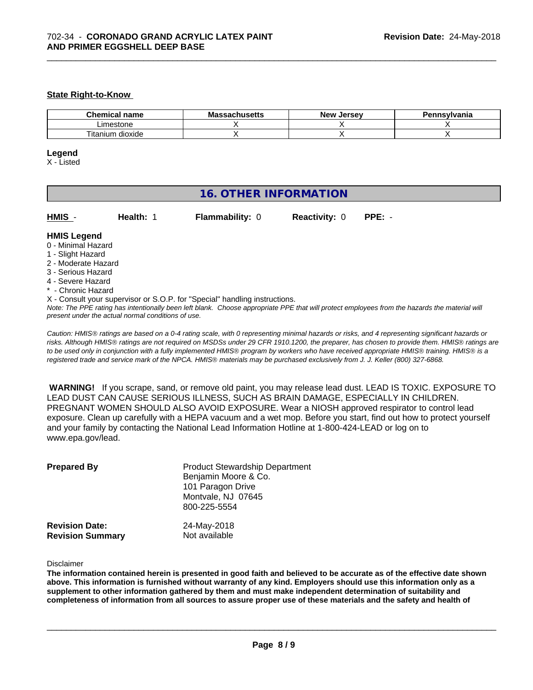#### **State Right-to-Know**

| nm.<br>ner<br>name.<br>шка | Mk<br>пиэспэ | ∴Jersev<br>Nev | svivania |
|----------------------------|--------------|----------------|----------|
| Limestone                  |              |                |          |
| ÷.<br>litanium<br>dioxide  |              |                |          |

\_\_\_\_\_\_\_\_\_\_\_\_\_\_\_\_\_\_\_\_\_\_\_\_\_\_\_\_\_\_\_\_\_\_\_\_\_\_\_\_\_\_\_\_\_\_\_\_\_\_\_\_\_\_\_\_\_\_\_\_\_\_\_\_\_\_\_\_\_\_\_\_\_\_\_\_\_\_\_\_\_\_\_\_\_\_\_\_\_\_\_\_\_

#### **Legend**

X - Listed

## **16. OTHER INFORMATION**

| <b>HMIS</b> |  |  |
|-------------|--|--|
|             |  |  |

**HMIS** - **Health:** 1 **Flammability:** 0 **Reactivity:** 0 **PPE:** -

#### **HMIS Legend**

- 0 Minimal Hazard
- 1 Slight Hazard
- 2 Moderate Hazard
- 3 Serious Hazard
- 4 Severe Hazard
- **Chronic Hazard**
- X Consult your supervisor or S.O.P. for "Special" handling instructions.

*Note: The PPE rating has intentionally been left blank. Choose appropriate PPE that will protect employees from the hazards the material will present under the actual normal conditions of use.*

*Caution: HMISÒ ratings are based on a 0-4 rating scale, with 0 representing minimal hazards or risks, and 4 representing significant hazards or risks. Although HMISÒ ratings are not required on MSDSs under 29 CFR 1910.1200, the preparer, has chosen to provide them. HMISÒ ratings are to be used only in conjunction with a fully implemented HMISÒ program by workers who have received appropriate HMISÒ training. HMISÒ is a registered trade and service mark of the NPCA. HMISÒ materials may be purchased exclusively from J. J. Keller (800) 327-6868.*

 **WARNING!** If you scrape, sand, or remove old paint, you may release lead dust. LEAD IS TOXIC. EXPOSURE TO LEAD DUST CAN CAUSE SERIOUS ILLNESS, SUCH AS BRAIN DAMAGE, ESPECIALLY IN CHILDREN. PREGNANT WOMEN SHOULD ALSO AVOID EXPOSURE.Wear a NIOSH approved respirator to control lead exposure. Clean up carefully with a HEPA vacuum and a wet mop. Before you start, find out how to protect yourself and your family by contacting the National Lead Information Hotline at 1-800-424-LEAD or log on to www.epa.gov/lead.

| <b>Prepared By</b>                               | <b>Product Stewardship Department</b><br>Benjamin Moore & Co.<br>101 Paragon Drive<br>Montvale, NJ 07645<br>800-225-5554 |  |
|--------------------------------------------------|--------------------------------------------------------------------------------------------------------------------------|--|
| <b>Revision Date:</b><br><b>Revision Summary</b> | 24-May-2018<br>Not available                                                                                             |  |

Disclaimer

The information contained herein is presented in good faith and believed to be accurate as of the effective date shown above. This information is furnished without warranty of any kind. Employers should use this information only as a **supplement to other information gathered by them and must make independent determination of suitability and** completeness of information from all sources to assure proper use of these materials and the safety and health of